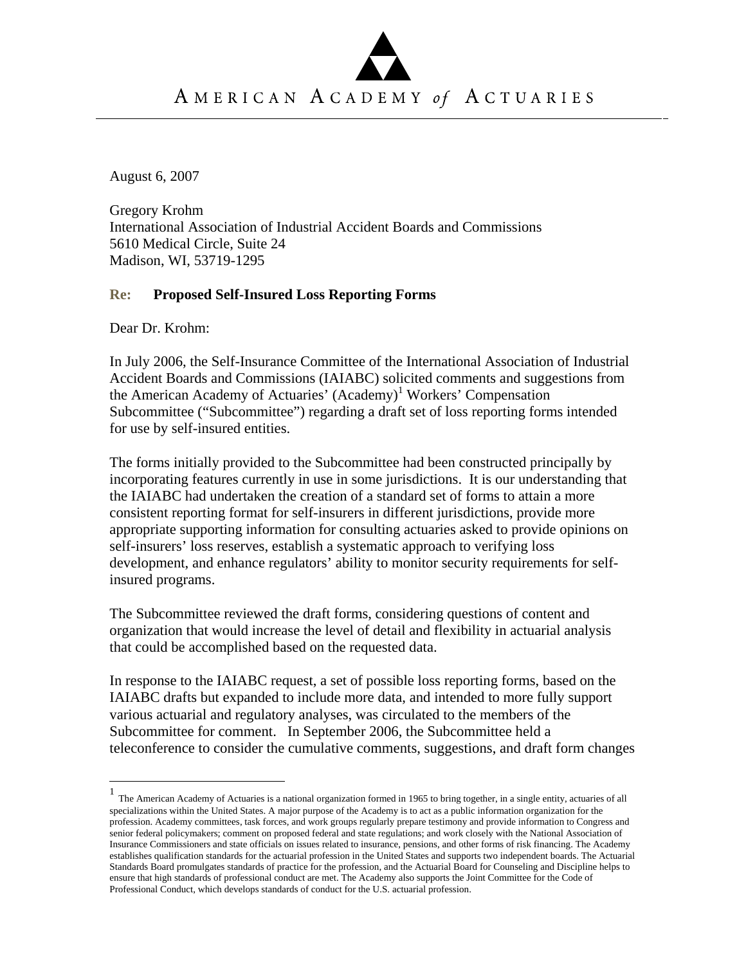

AMERICAN ACADEMY of ACTUARIES

August 6, 2007

Gregory Krohm International Association of Industrial Accident Boards and Commissions 5610 Medical Circle, Suite 24 Madison, WI, 53719-1295

## **Re: Proposed Self-Insured Loss Reporting Forms**

Dear Dr. Krohm:

1

In July 2006, the Self-Insurance Committee of the International Association of Industrial Accident Boards and Commissions (IAIABC) solicited comments and suggestions from the American Academy of Actuaries' (Academy)<sup>1</sup> Workers' Compensation Subcommittee ("Subcommittee") regarding a draft set of loss reporting forms intended for use by self-insured entities.

The forms initially provided to the Subcommittee had been constructed principally by incorporating features currently in use in some jurisdictions. It is our understanding that the IAIABC had undertaken the creation of a standard set of forms to attain a more consistent reporting format for self-insurers in different jurisdictions, provide more appropriate supporting information for consulting actuaries asked to provide opinions on self-insurers' loss reserves, establish a systematic approach to verifying loss development, and enhance regulators' ability to monitor security requirements for selfinsured programs.

The Subcommittee reviewed the draft forms, considering questions of content and organization that would increase the level of detail and flexibility in actuarial analysis that could be accomplished based on the requested data.

In response to the IAIABC request, a set of possible loss reporting forms, based on the IAIABC drafts but expanded to include more data, and intended to more fully support various actuarial and regulatory analyses, was circulated to the members of the Subcommittee for comment. In September 2006, the Subcommittee held a teleconference to consider the cumulative comments, suggestions, and draft form changes

<sup>1</sup> The American Academy of Actuaries is a national organization formed in 1965 to bring together, in a single entity, actuaries of all specializations within the United States. A major purpose of the Academy is to act as a public information organization for the profession. Academy committees, task forces, and work groups regularly prepare testimony and provide information to Congress and senior federal policymakers; comment on proposed federal and state regulations; and work closely with the National Association of Insurance Commissioners and state officials on issues related to insurance, pensions, and other forms of risk financing. The Academy establishes qualification standards for the actuarial profession in the United States and supports two independent boards. The Actuarial Standards Board promulgates standards of practice for the profession, and the Actuarial Board for Counseling and Discipline helps to ensure that high standards of professional conduct are met. The Academy also supports the Joint Committee for the Code of Professional Conduct, which develops standards of conduct for the U.S. actuarial profession.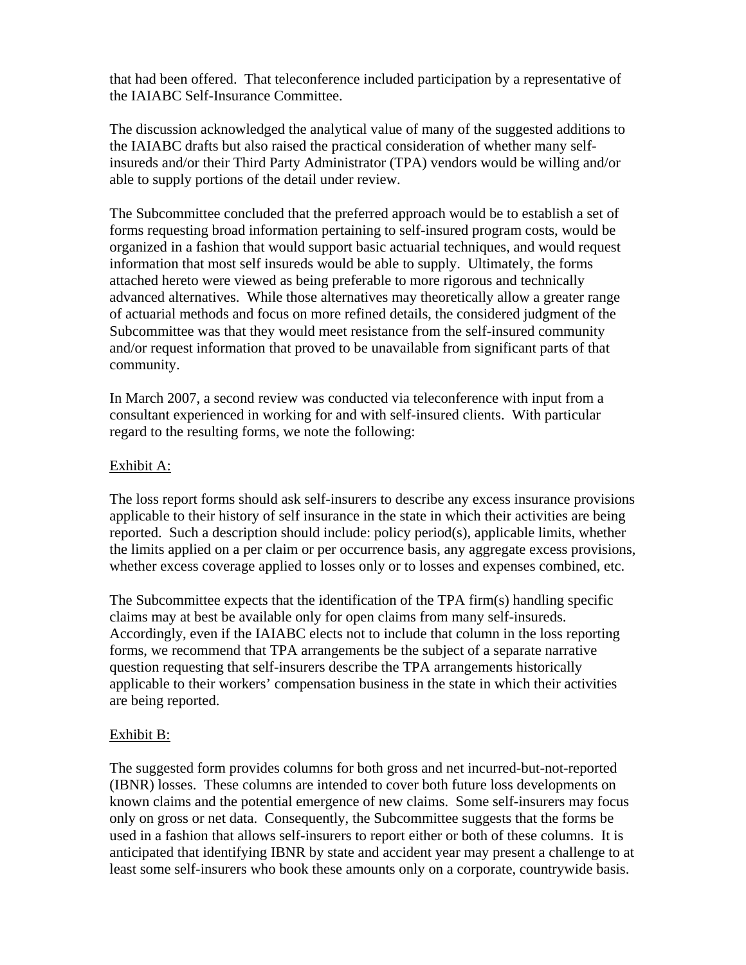that had been offered. That teleconference included participation by a representative of the IAIABC Self-Insurance Committee.

The discussion acknowledged the analytical value of many of the suggested additions to the IAIABC drafts but also raised the practical consideration of whether many selfinsureds and/or their Third Party Administrator (TPA) vendors would be willing and/or able to supply portions of the detail under review.

The Subcommittee concluded that the preferred approach would be to establish a set of forms requesting broad information pertaining to self-insured program costs, would be organized in a fashion that would support basic actuarial techniques, and would request information that most self insureds would be able to supply. Ultimately, the forms attached hereto were viewed as being preferable to more rigorous and technically advanced alternatives. While those alternatives may theoretically allow a greater range of actuarial methods and focus on more refined details, the considered judgment of the Subcommittee was that they would meet resistance from the self-insured community and/or request information that proved to be unavailable from significant parts of that community.

In March 2007, a second review was conducted via teleconference with input from a consultant experienced in working for and with self-insured clients. With particular regard to the resulting forms, we note the following:

## Exhibit A:

The loss report forms should ask self-insurers to describe any excess insurance provisions applicable to their history of self insurance in the state in which their activities are being reported. Such a description should include: policy period(s), applicable limits, whether the limits applied on a per claim or per occurrence basis, any aggregate excess provisions, whether excess coverage applied to losses only or to losses and expenses combined, etc.

The Subcommittee expects that the identification of the TPA firm(s) handling specific claims may at best be available only for open claims from many self-insureds. Accordingly, even if the IAIABC elects not to include that column in the loss reporting forms, we recommend that TPA arrangements be the subject of a separate narrative question requesting that self-insurers describe the TPA arrangements historically applicable to their workers' compensation business in the state in which their activities are being reported.

## Exhibit B:

The suggested form provides columns for both gross and net incurred-but-not-reported (IBNR) losses. These columns are intended to cover both future loss developments on known claims and the potential emergence of new claims. Some self-insurers may focus only on gross or net data. Consequently, the Subcommittee suggests that the forms be used in a fashion that allows self-insurers to report either or both of these columns. It is anticipated that identifying IBNR by state and accident year may present a challenge to at least some self-insurers who book these amounts only on a corporate, countrywide basis.